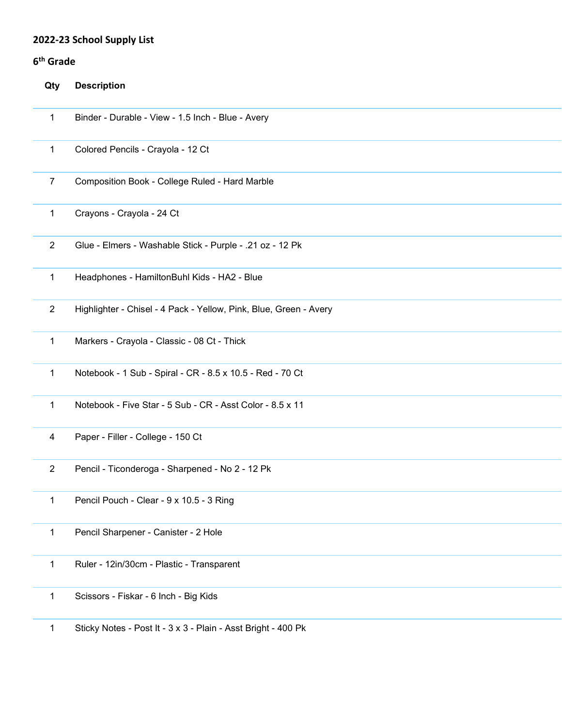# **2022-23 School Supply List**

# **6th Grade**

| Qty            | <b>Description</b>                                                |
|----------------|-------------------------------------------------------------------|
| $\mathbf{1}$   | Binder - Durable - View - 1.5 Inch - Blue - Avery                 |
| $\mathbf{1}$   | Colored Pencils - Crayola - 12 Ct                                 |
| $\overline{7}$ | Composition Book - College Ruled - Hard Marble                    |
| $\mathbf{1}$   | Crayons - Crayola - 24 Ct                                         |
| $\overline{2}$ | Glue - Elmers - Washable Stick - Purple - .21 oz - 12 Pk          |
| $\mathbf{1}$   | Headphones - HamiltonBuhl Kids - HA2 - Blue                       |
| $\overline{2}$ | Highlighter - Chisel - 4 Pack - Yellow, Pink, Blue, Green - Avery |
| $\mathbf 1$    | Markers - Crayola - Classic - 08 Ct - Thick                       |
| $\mathbf{1}$   | Notebook - 1 Sub - Spiral - CR - 8.5 x 10.5 - Red - 70 Ct         |
| $\mathbf{1}$   | Notebook - Five Star - 5 Sub - CR - Asst Color - 8.5 x 11         |
| 4              | Paper - Filler - College - 150 Ct                                 |
| $\overline{2}$ | Pencil - Ticonderoga - Sharpened - No 2 - 12 Pk                   |
| 1              | Pencil Pouch - Clear - 9 x 10.5 - 3 Ring                          |
| 1              | Pencil Sharpener - Canister - 2 Hole                              |
| $\mathbf 1$    | Ruler - 12in/30cm - Plastic - Transparent                         |
| 1              | Scissors - Fiskar - 6 Inch - Big Kids                             |
|                |                                                                   |

Sticky Notes - Post It - 3 x 3 - Plain - Asst Bright - 400 Pk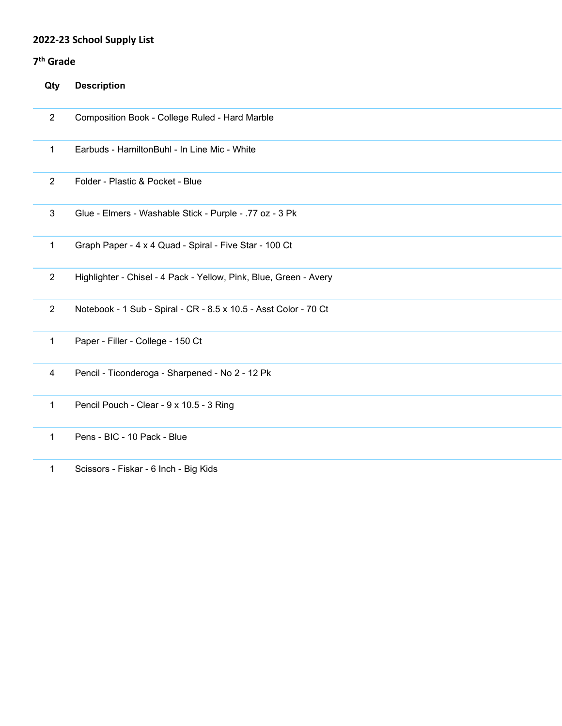# **2022-23 School Supply List**

## **7th Grade**

| Qty            | <b>Description</b>                                                |
|----------------|-------------------------------------------------------------------|
| $\overline{2}$ | Composition Book - College Ruled - Hard Marble                    |
| $\mathbf{1}$   | Earbuds - HamiltonBuhl - In Line Mic - White                      |
| $\overline{2}$ | Folder - Plastic & Pocket - Blue                                  |
| $\mathbf{3}$   | Glue - Elmers - Washable Stick - Purple - .77 oz - 3 Pk           |
| $\mathbf{1}$   | Graph Paper - 4 x 4 Quad - Spiral - Five Star - 100 Ct            |
| $\overline{2}$ | Highlighter - Chisel - 4 Pack - Yellow, Pink, Blue, Green - Avery |
| $\overline{2}$ | Notebook - 1 Sub - Spiral - CR - 8.5 x 10.5 - Asst Color - 70 Ct  |
| 1              | Paper - Filler - College - 150 Ct                                 |
| 4              | Pencil - Ticonderoga - Sharpened - No 2 - 12 Pk                   |
| 1              | Pencil Pouch - Clear - 9 x 10.5 - 3 Ring                          |
| $\mathbf 1$    | Pens - BIC - 10 Pack - Blue                                       |
| $\mathbf{1}$   | Scissors - Fiskar - 6 Inch - Big Kids                             |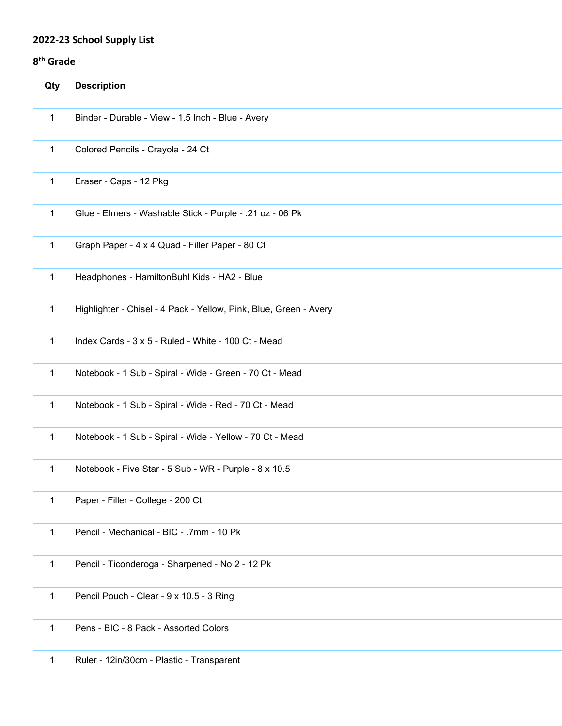#### **2022-23 School Supply List**

## **8th Grade**

| Qty          | <b>Description</b>                                                |
|--------------|-------------------------------------------------------------------|
| 1            | Binder - Durable - View - 1.5 Inch - Blue - Avery                 |
| 1            | Colored Pencils - Crayola - 24 Ct                                 |
| 1            | Eraser - Caps - 12 Pkg                                            |
| $\mathbf{1}$ | Glue - Elmers - Washable Stick - Purple - .21 oz - 06 Pk          |
| $\mathbf{1}$ | Graph Paper - 4 x 4 Quad - Filler Paper - 80 Ct                   |
| $\mathbf{1}$ | Headphones - HamiltonBuhl Kids - HA2 - Blue                       |
| 1            | Highlighter - Chisel - 4 Pack - Yellow, Pink, Blue, Green - Avery |
| $\mathbf 1$  | Index Cards - 3 x 5 - Ruled - White - 100 Ct - Mead               |
| 1            | Notebook - 1 Sub - Spiral - Wide - Green - 70 Ct - Mead           |
| 1            | Notebook - 1 Sub - Spiral - Wide - Red - 70 Ct - Mead             |
| 1            | Notebook - 1 Sub - Spiral - Wide - Yellow - 70 Ct - Mead          |
| $\mathbf{1}$ | Notebook - Five Star - 5 Sub - WR - Purple - 8 x 10.5             |
| 1            | Paper - Filler - College - 200 Ct                                 |
| 1            | Pencil - Mechanical - BIC - .7mm - 10 Pk                          |
| 1            | Pencil - Ticonderoga - Sharpened - No 2 - 12 Pk                   |
| 1            | Pencil Pouch - Clear - 9 x 10.5 - 3 Ring                          |
| 1            | Pens - BIC - 8 Pack - Assorted Colors                             |

Ruler - 12in/30cm - Plastic - Transparent